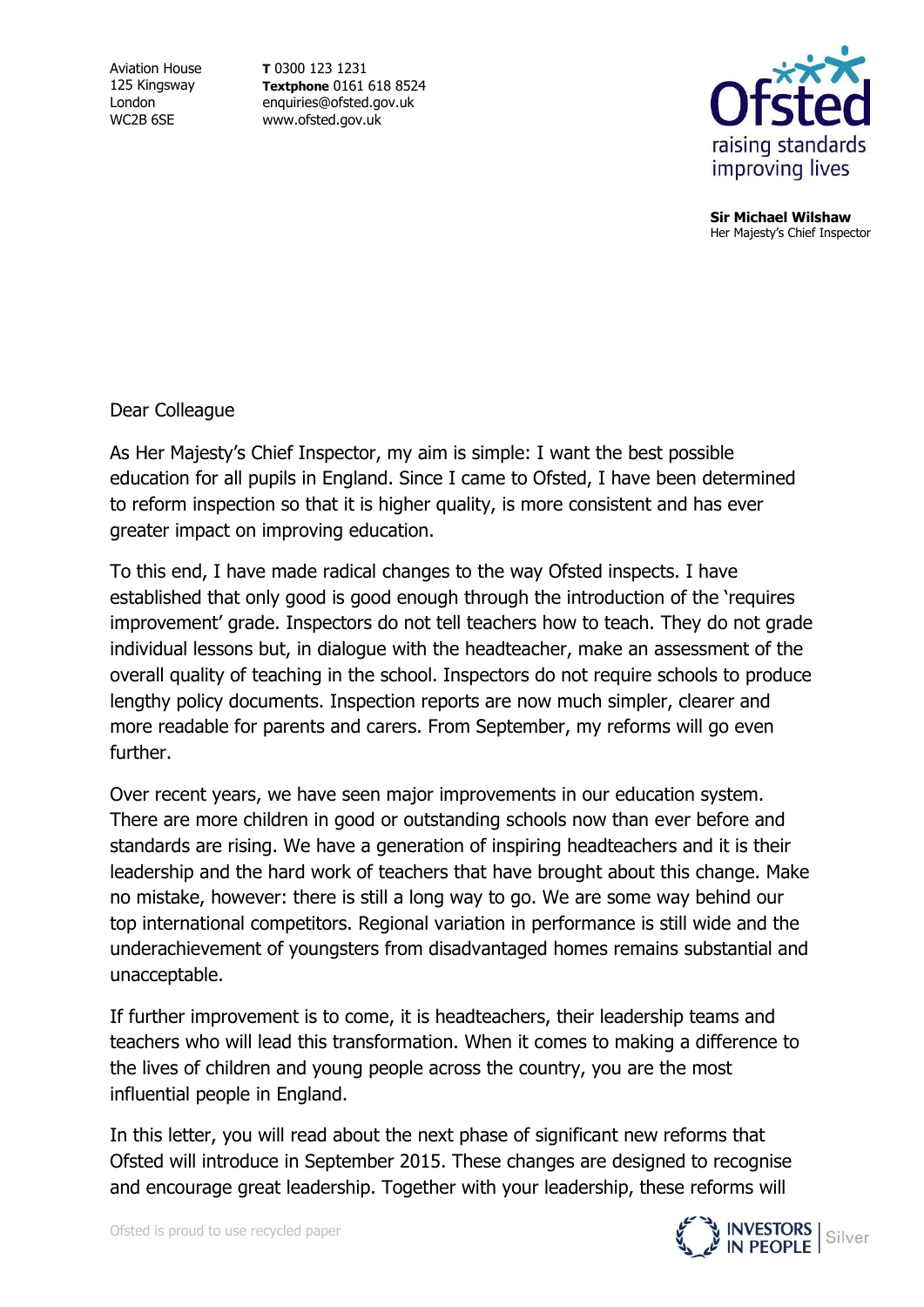Aviation House 125 Kingsway London WC2B 6SE

**T** 0300 123 1231 **Textphone** 0161 618 8524 enquiries@ofsted.gov.uk www.ofsted.gov.uk



**Sir Michael Wilshaw** Her Majesty's Chief Inspector

Dear Colleague

As Her Majesty's Chief Inspector, my aim is simple: I want the best possible education for all pupils in England. Since I came to Ofsted, I have been determined to reform inspection so that it is higher quality, is more consistent and has ever greater impact on improving education.

To this end, I have made radical changes to the way Ofsted inspects. I have established that only good is good enough through the introduction of the 'requires improvement' grade. Inspectors do not tell teachers how to teach. They do not grade individual lessons but, in dialogue with the headteacher, make an assessment of the overall quality of teaching in the school. Inspectors do not require schools to produce lengthy policy documents. Inspection reports are now much simpler, clearer and more readable for parents and carers. From September, my reforms will go even further.

Over recent years, we have seen major improvements in our education system. There are more children in good or outstanding schools now than ever before and standards are rising. We have a generation of inspiring headteachers and it is their leadership and the hard work of teachers that have brought about this change. Make no mistake, however: there is still a long way to go. We are some way behind our top international competitors. Regional variation in performance is still wide and the underachievement of youngsters from disadvantaged homes remains substantial and unacceptable.

If further improvement is to come, it is headteachers, their leadership teams and teachers who will lead this transformation. When it comes to making a difference to the lives of children and young people across the country, you are the most influential people in England.

In this letter, you will read about the next phase of significant new reforms that Ofsted will introduce in September 2015. These changes are designed to recognise and encourage great leadership. Together with your leadership, these reforms will

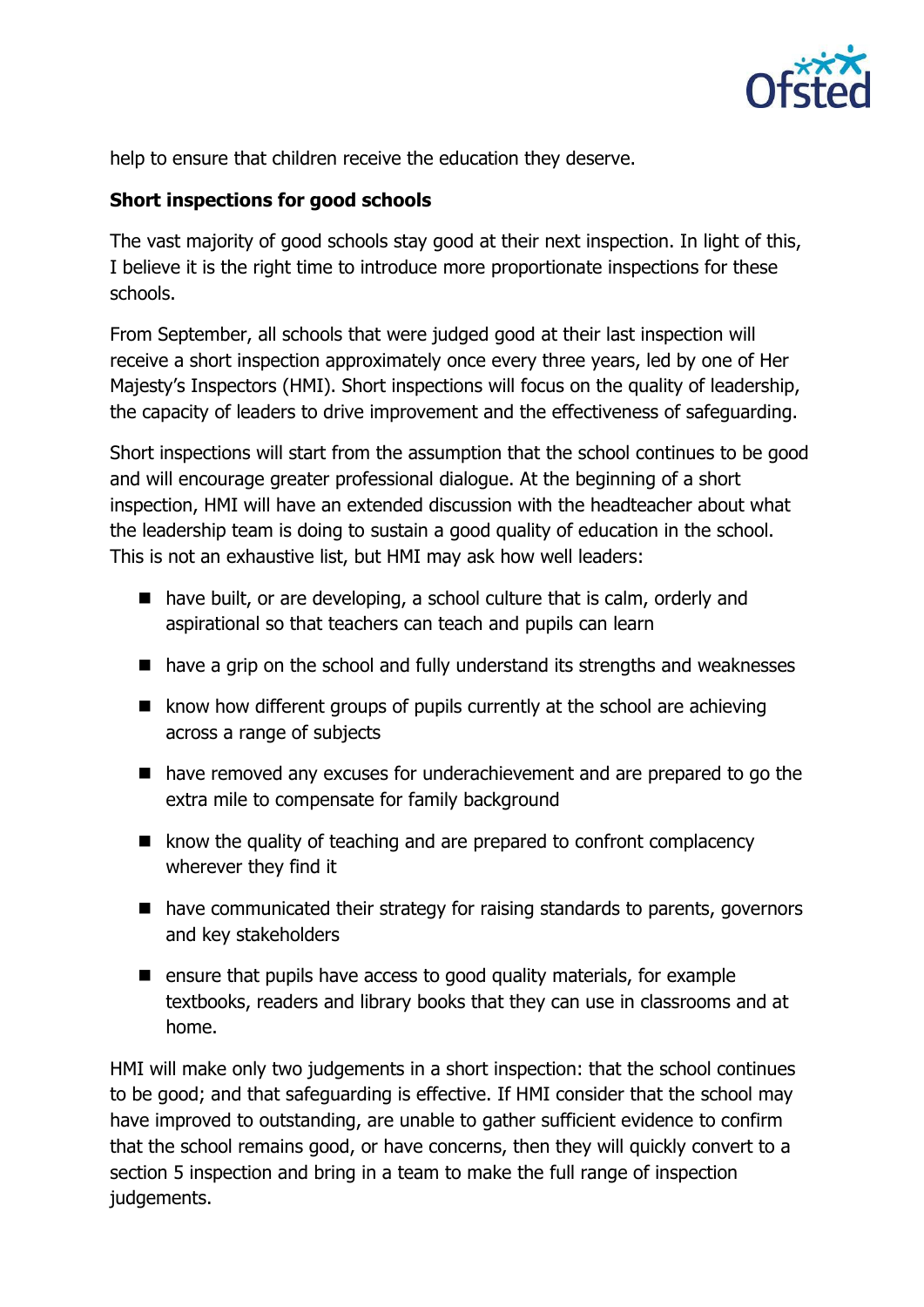

help to ensure that children receive the education they deserve.

### **Short inspections for good schools**

The vast majority of good schools stay good at their next inspection. In light of this, I believe it is the right time to introduce more proportionate inspections for these schools.

From September, all schools that were judged good at their last inspection will receive a short inspection approximately once every three years, led by one of Her Majesty's Inspectors (HMI). Short inspections will focus on the quality of leadership, the capacity of leaders to drive improvement and the effectiveness of safeguarding.

Short inspections will start from the assumption that the school continues to be good and will encourage greater professional dialogue. At the beginning of a short inspection, HMI will have an extended discussion with the headteacher about what the leadership team is doing to sustain a good quality of education in the school. This is not an exhaustive list, but HMI may ask how well leaders:

- have built, or are developing, a school culture that is calm, orderly and aspirational so that teachers can teach and pupils can learn
- have a grip on the school and fully understand its strengths and weaknesses
- $\blacksquare$  know how different groups of pupils currently at the school are achieving across a range of subjects
- have removed any excuses for underachievement and are prepared to go the extra mile to compensate for family background
- $\blacksquare$  know the quality of teaching and are prepared to confront complacency wherever they find it
- have communicated their strategy for raising standards to parents, governors and key stakeholders
- $\blacksquare$  ensure that pupils have access to good quality materials, for example textbooks, readers and library books that they can use in classrooms and at home.

HMI will make only two judgements in a short inspection: that the school continues to be good; and that safeguarding is effective. If HMI consider that the school may have improved to outstanding, are unable to gather sufficient evidence to confirm that the school remains good, or have concerns, then they will quickly convert to a section 5 inspection and bring in a team to make the full range of inspection judgements.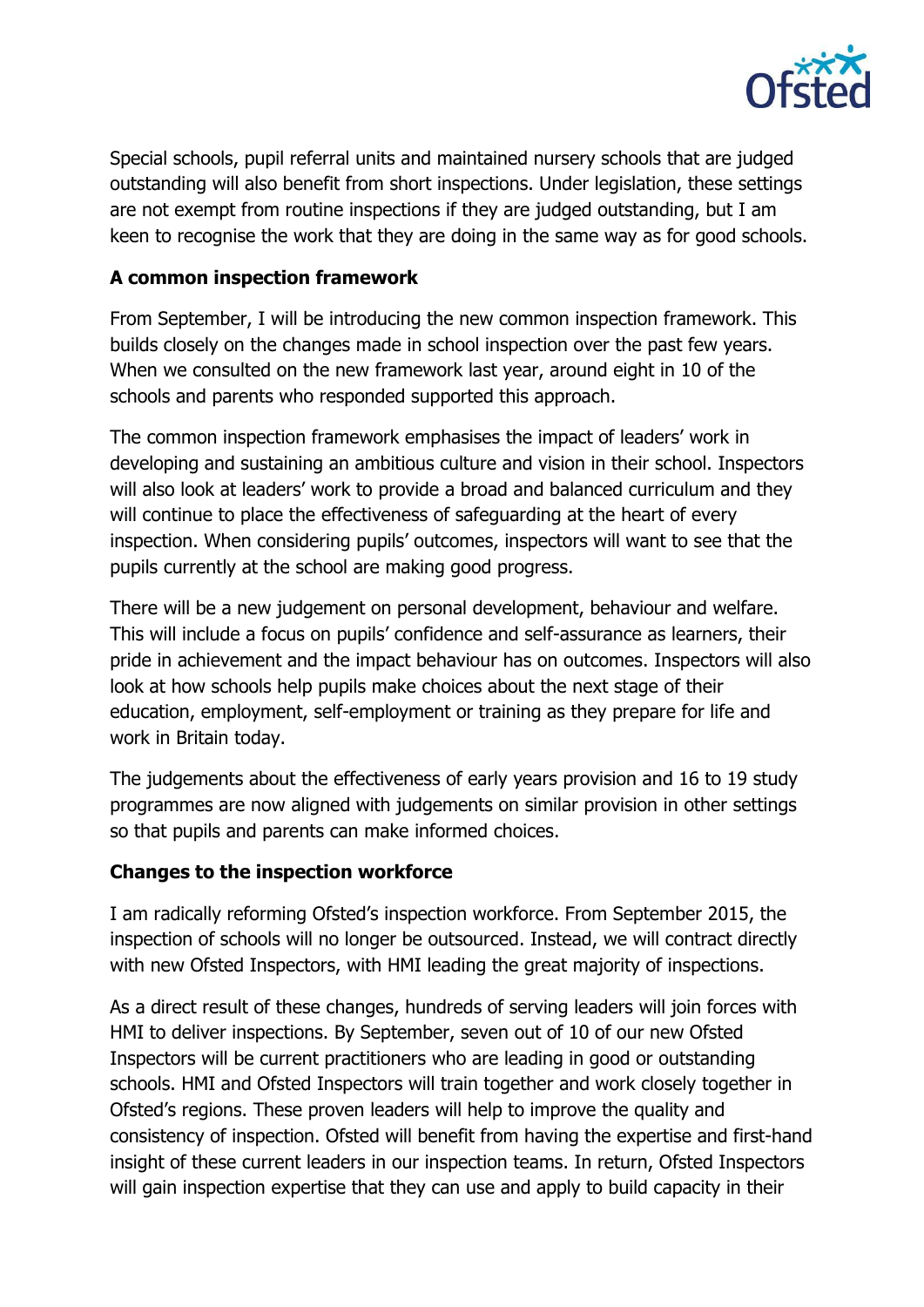

Special schools, pupil referral units and maintained nursery schools that are judged outstanding will also benefit from short inspections. Under legislation, these settings are not exempt from routine inspections if they are judged outstanding, but I am keen to recognise the work that they are doing in the same way as for good schools.

### **A common inspection framework**

From September, I will be introducing the new common inspection framework. This builds closely on the changes made in school inspection over the past few years. When we consulted on the new framework last year, around eight in 10 of the schools and parents who responded supported this approach.

The common inspection framework emphasises the impact of leaders' work in developing and sustaining an ambitious culture and vision in their school. Inspectors will also look at leaders' work to provide a broad and balanced curriculum and they will continue to place the effectiveness of safeguarding at the heart of every inspection. When considering pupils' outcomes, inspectors will want to see that the pupils currently at the school are making good progress.

There will be a new judgement on personal development, behaviour and welfare. This will include a focus on pupils' confidence and self-assurance as learners, their pride in achievement and the impact behaviour has on outcomes. Inspectors will also look at how schools help pupils make choices about the next stage of their education, employment, self-employment or training as they prepare for life and work in Britain today.

The judgements about the effectiveness of early years provision and 16 to 19 study programmes are now aligned with judgements on similar provision in other settings so that pupils and parents can make informed choices.

# **Changes to the inspection workforce**

I am radically reforming Ofsted's inspection workforce. From September 2015, the inspection of schools will no longer be outsourced. Instead, we will contract directly with new Ofsted Inspectors, with HMI leading the great majority of inspections.

As a direct result of these changes, hundreds of serving leaders will join forces with HMI to deliver inspections. By September, seven out of 10 of our new Ofsted Inspectors will be current practitioners who are leading in good or outstanding schools. HMI and Ofsted Inspectors will train together and work closely together in Ofsted's regions. These proven leaders will help to improve the quality and consistency of inspection. Ofsted will benefit from having the expertise and first-hand insight of these current leaders in our inspection teams. In return, Ofsted Inspectors will gain inspection expertise that they can use and apply to build capacity in their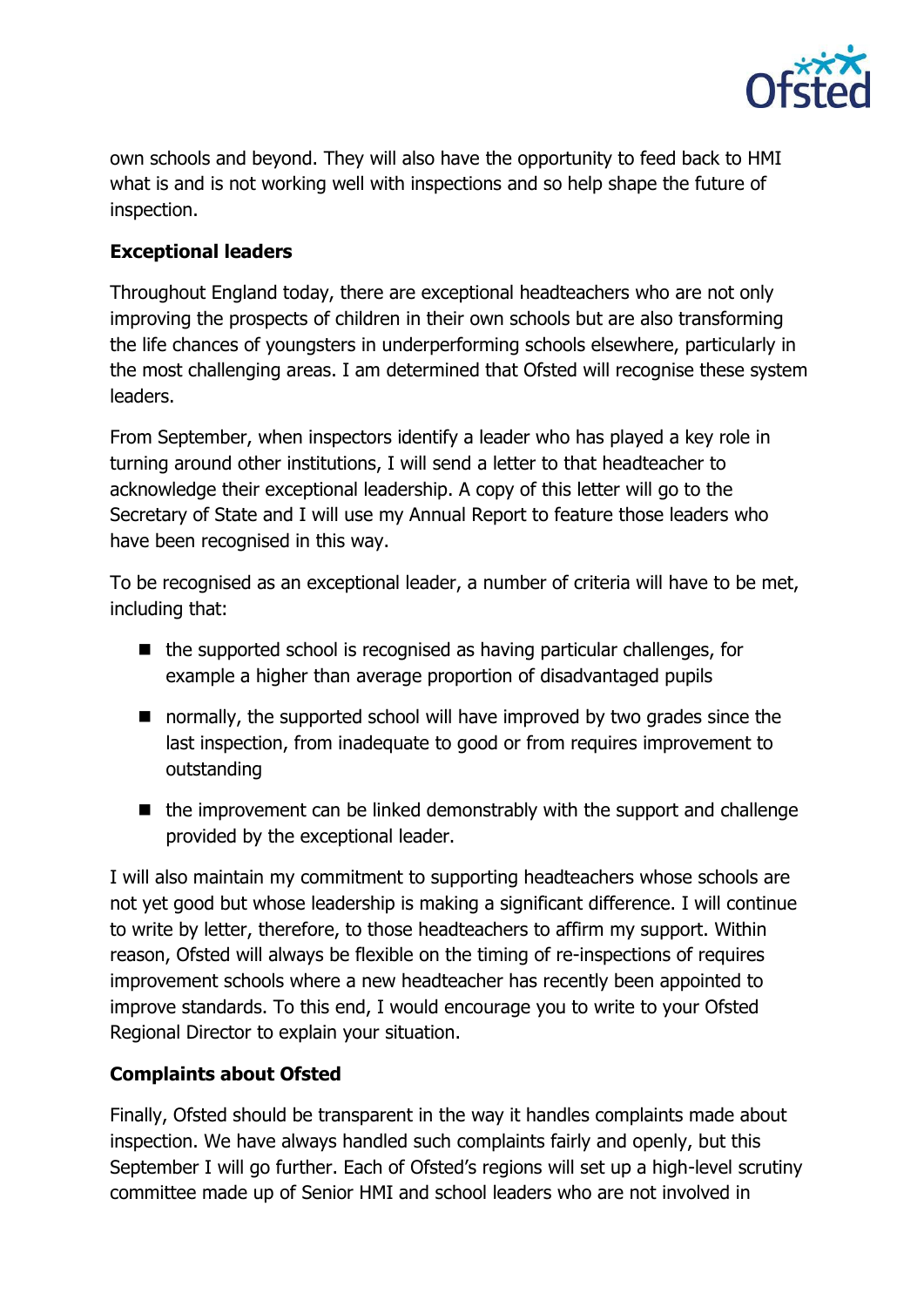

own schools and beyond. They will also have the opportunity to feed back to HMI what is and is not working well with inspections and so help shape the future of inspection.

# **Exceptional leaders**

Throughout England today, there are exceptional headteachers who are not only improving the prospects of children in their own schools but are also transforming the life chances of youngsters in underperforming schools elsewhere, particularly in the most challenging areas. I am determined that Ofsted will recognise these system leaders.

From September, when inspectors identify a leader who has played a key role in turning around other institutions, I will send a letter to that headteacher to acknowledge their exceptional leadership. A copy of this letter will go to the Secretary of State and I will use my Annual Report to feature those leaders who have been recognised in this way.

To be recognised as an exceptional leader, a number of criteria will have to be met, including that:

- $\blacksquare$  the supported school is recognised as having particular challenges, for example a higher than average proportion of disadvantaged pupils
- normally, the supported school will have improved by two grades since the last inspection, from inadequate to good or from requires improvement to outstanding
- $\blacksquare$  the improvement can be linked demonstrably with the support and challenge provided by the exceptional leader.

I will also maintain my commitment to supporting headteachers whose schools are not yet good but whose leadership is making a significant difference. I will continue to write by letter, therefore, to those headteachers to affirm my support. Within reason, Ofsted will always be flexible on the timing of re-inspections of requires improvement schools where a new headteacher has recently been appointed to improve standards. To this end, I would encourage you to write to your Ofsted Regional Director to explain your situation.

# **Complaints about Ofsted**

Finally, Ofsted should be transparent in the way it handles complaints made about inspection. We have always handled such complaints fairly and openly, but this September I will go further. Each of Ofsted's regions will set up a high-level scrutiny committee made up of Senior HMI and school leaders who are not involved in